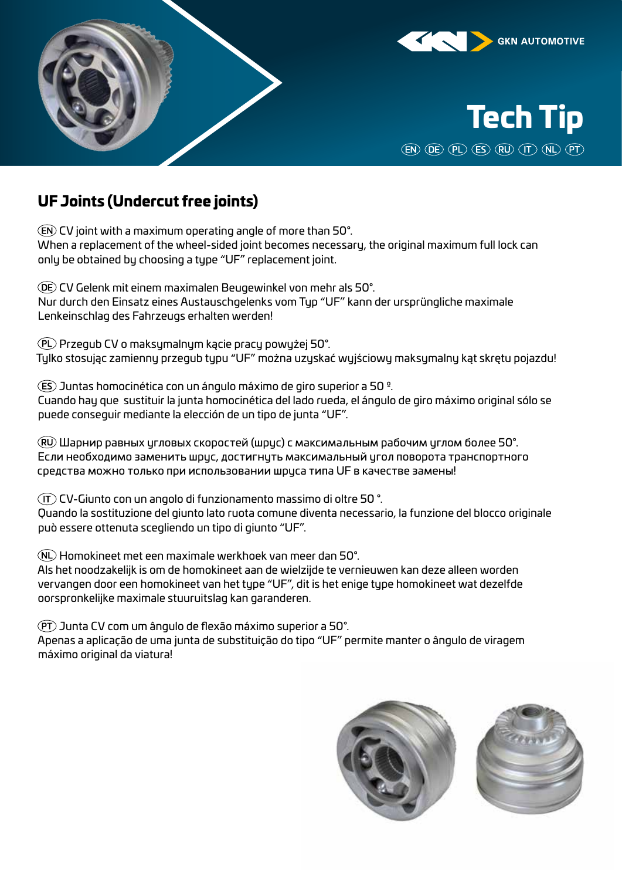





## UF Joints (Undercut free joints)

CV joint with a maximum operating angle of more than 50°. When a replacement of the wheel-sided joint becomes necessary, the original maximum full lock can only be obtained by choosing a type "UF" replacement joint.

CV Gelenk mit einem maximalen Beugewinkel von mehr als 50°. Nur durch den Einsatz eines Austauschgelenks vom Typ "UF" kann der ursprüngliche maximale Lenkeinschlag des Fahrzeugs erhalten werden!

Przegub CV o maksymalnym kącie pracy powyżej 50°. Tylko stosując zamienny przegub typu "UF" można uzyskać wyjściowy maksymalny kąt skrętu pojazdu!

Juntas homocinética con un ángulo máximo de giro superior a 50 º. Cuando hay que sustituir la junta homocinética del lado rueda, el ángulo de giro máximo original sólo se puede conseguir mediante la elección de un tipo de junta "UF".

Шарнир равных угловых скоростей (шрус) с максимальным рабочим углом более 50°. Если необходимо заменить шрис, достигнить максимальный игол поворота транспортного средства можно только при использовании шруса типа UF в качестве замены!

CV-Giunto con un angolo di funzionamento massimo di oltre 50 °. Quando la sostituzione del giunto lato ruota comune diventa necessario, la funzione del blocco originale può essere ottenuta scegliendo un tipo di giunto "UF".

Homokineet met een maximale werkhoek van meer dan 50°.

Als het noodzakelijk is om de homokineet aan de wielzijde te vernieuwen kan deze alleen worden vervangen door een homokineet van het type "UF", dit is het enige type homokineet wat dezelfde oorspronkelijke maximale stuuruitslag kan garanderen.

Junta CV com um ângulo de flexão máximo superior a 50°.

Apenas a aplicação de uma junta de substituição do tipo "UF" permite manter o ângulo de viragem máximo original da viatura!